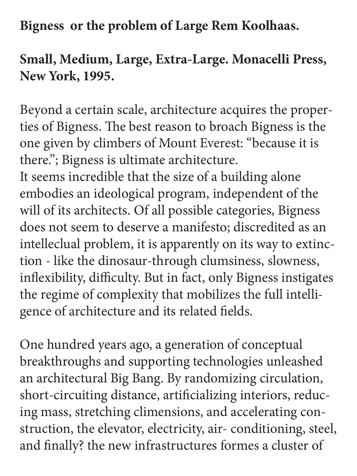**Bigness or the problem of Large Rem Koolhaas.** 

**Small, Medium, Large, Extra-Large. Monacelli Press, New York, 1995.** 

Beyond a certain scale, architecture acquires the properties of Bigness. The best reason to broach Bigness is the one given by climbers of Mount Everest: "because it is there."; Bigness is ultimate architecture.

It seems incredible that the size of a building alone embodies an ideological program, independent of the will of its architects. Of all possible categories, Bigness does not seem to deserve a manifesto; discredited as an intelleclual problem, it is apparently on its way to extinction - like the dinosaur-through clumsiness, slowness, inflexibility, difficulty. But in fact, only Bigness instigates the regime of complexity that mobilizes the full intelligence of architecture and its related fields.

One hundred years ago, a generation of conceptual breakthroughs and supporting technologies unleashed an architectural Big Bang. By randomizing circulation, short-circuiting distance, artificializing interiors, reducing mass, stretching climensions, and accelerating construction, the elevator, electricity, air- conditioning, steel, and finally? the new infrastructures formes a cluster of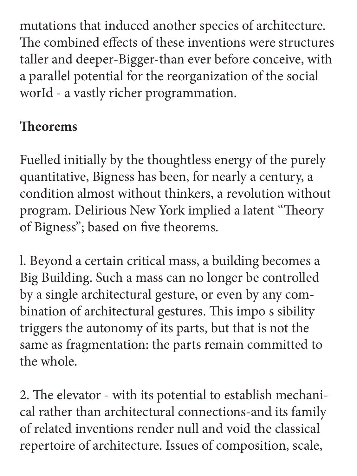mutations that induced another species of architecture. The combined effects of these inventions were structures taller and deeper-Bigger-than ever before conceive, with a parallel potential for the reorganization of the social worId - a vastly richer programmation.

# **Theorems**

Fuelled initially by the thoughtless energy of the purely quantitative, Bigness has been, for nearly a century, a condition almost without thinkers, a revolution without program. Delirious New York implied a latent "Theory of Bigness"; based on five theorems.

l. Beyond a certain critical mass, a building becomes a Big Building. Such a mass can no longer be controlled by a single architectural gesture, or even by any combination of architectural gestures. This impo s sibility triggers the autonomy of its parts, but that is not the same as fragmentation: the parts remain committed to the whole.

2. The elevator - with its potential to establish mechanical rather than architectural connections-and its family of related inventions render null and void the classical repertoire of architecture. Issues of composition, scale,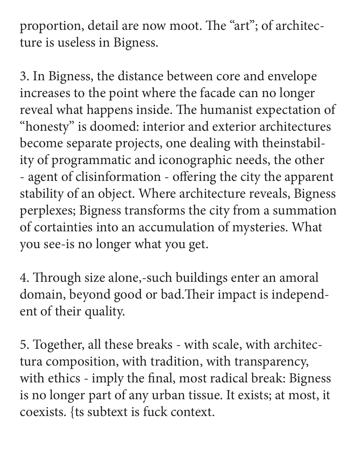proportion, detail are now moot. The "art"; of architecture is useless in Bigness.

3. In Bigness, the distance between core and envelope increases to the point where the facade can no longer reveal what happens inside. The humanist expectation of "honesty" is doomed: interior and exterior architectures become separate projects, one dealing with theinstability of programmatic and iconographic needs, the other - agent of clisinformation - offering the city the apparent stability of an object. Where architecture reveals, Bigness perplexes; Bigness transforms the city from a summation of cortainties into an accumulation of mysteries. What you see-is no longer what you get.

4. Through size alone,-such buildings enter an amoral domain, beyond good or bad.Their impact is independent of their quality.

5. Together, all these breaks - with scale, with architectura composition, with tradition, with transparency, with ethics - imply the final, most radical break: Bigness is no longer part of any urban tissue. It exists; at most, it coexists. {ts subtext is fuck context.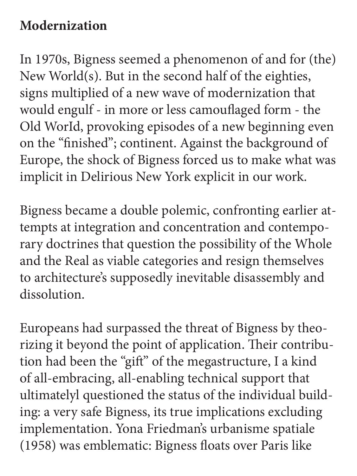### **Modernization**

In 1970s, Bigness seemed a phenomenon of and for (the) New World(s). But in the second half of the eighties, signs multiplied of a new wave of modernization that would engulf - in more or less camouflaged form - the Old WorId, provoking episodes of a new beginning even on the "finished"; continent. Against the background of Europe, the shock of Bigness forced us to make what was implicit in Delirious New York explicit in our work.

Bigness became a double polemic, confronting earlier attempts at integration and concentration and contemporary doctrines that question the possibility of the Whole and the Real as viable categories and resign themselves to architecture's supposedly inevitable disassembly and dissolution.

Europeans had surpassed the threat of Bigness by theorizing it beyond the point of application. Their contribution had been the "gift" of the megastructure, I a kind of all-embracing, all-enabling technical support that ultimatelyl questioned the status of the individual building: a very safe Bigness, its true implications excluding implementation. Yona Friedman's urbanisme spatiale (1958) was emblematic: Bigness floats over Paris like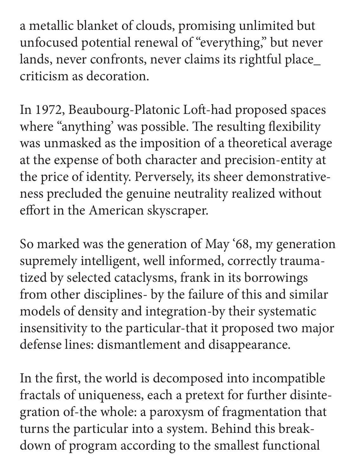a metallic blanket of clouds, promising unlimited but unfocused potential renewal of "everything," but never lands, never confronts, never claims its rightful place\_ criticism as decoration.

In 1972, Beaubourg-Platonic Loft-had proposed spaces where "anything' was possible. The resulting flexibility was unmasked as the imposition of a theoretical average at the expense of both character and precision-entity at the price of identity. Perversely, its sheer demonstrativeness precluded the genuine neutrality realized without effort in the American skyscraper.

So marked was the generation of May '68, my generation supremely intelligent, well informed, correctly traumatized by selected cataclysms, frank in its borrowings from other disciplines- by the failure of this and similar models of density and integration-by their systematic insensitivity to the particular-that it proposed two major defense lines: dismantlement and disappearance.

In the first, the world is decomposed into incompatible fractals of uniqueness, each a pretext for further disintegration of-the whole: a paroxysm of fragmentation that turns the particular into a system. Behind this breakdown of program according to the smallest functional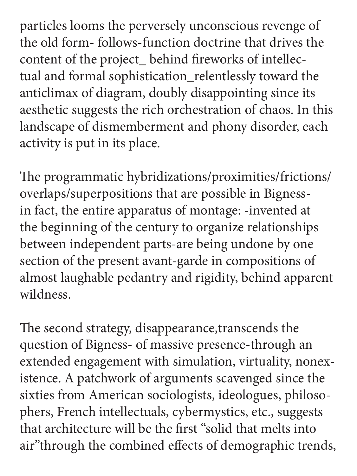particles looms the perversely unconscious revenge of the old form- follows-function doctrine that drives the content of the project\_ behind fireworks of intellectual and formal sophistication\_relentlessly toward the anticlimax of diagram, doubly disappointing since its aesthetic suggests the rich orchestration of chaos. In this landscape of dismemberment and phony disorder, each activity is put in its place.

The programmatic hybridizations/proximities/frictions/ overlaps/superpositions that are possible in Bignessin fact, the entire apparatus of montage: -invented at the beginning of the century to organize relationships between independent parts-are being undone by one section of the present avant-garde in compositions of almost laughable pedantry and rigidity, behind apparent wildness.

The second strategy, disappearance,transcends the question of Bigness- of massive presence-through an extended engagement with simulation, virtuality, nonexistence. A patchwork of arguments scavenged since the sixties from American sociologists, ideologues, philosophers, French intellectuals, cybermystics, etc., suggests that architecture will be the first "solid that melts into air"through the combined effects of demographic trends,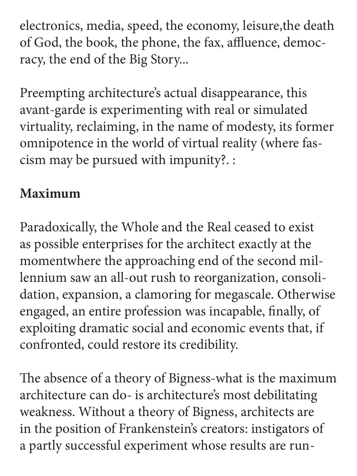electronics, media, speed, the economy, leisure,the death of God, the book, the phone, the fax, affluence, democracy, the end of the Big Story...

Preempting architecture's actual disappearance, this avant-garde is experimenting with real or simulated virtuality, reclaiming, in the name of modesty, its former omnipotence in the world of virtual reality (where fascism may be pursued with impunity?. :

# **Maximum**

Paradoxically, the Whole and the Real ceased to exist as possible enterprises for the architect exactly at the momentwhere the approaching end of the second millennium saw an all-out rush to reorganization, consolidation, expansion, a clamoring for megascale. Otherwise engaged, an entire profession was incapable, finally, of exploiting dramatic social and economic events that, if confronted, could restore its credibility.

The absence of a theory of Bigness-what is the maximum architecture can do- is architecture's most debilitating weakness. Without a theory of Bigness, architects are in the position of Frankenstein's creators: instigators of a partly successful experiment whose results are run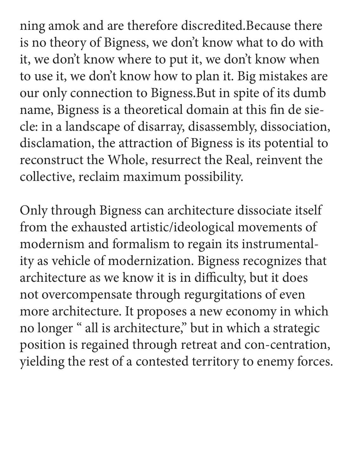ning amok and are therefore discredited.Because there is no theory of Bigness, we don't know what to do with it, we don't know where to put it, we don't know when to use it, we don't know how to plan it. Big mistakes are our only connection to Bigness.But in spite of its dumb name, Bigness is a theoretical domain at this fin de siecle: in a landscape of disarray, disassembly, dissociation, disclamation, the attraction of Bigness is its potential to reconstruct the Whole, resurrect the Real, reinvent the collective, reclaim maximum possibility.

Only through Bigness can architecture dissociate itself from the exhausted artistic/ideological movements of modernism and formalism to regain its instrumentality as vehicle of modernization. Bigness recognizes that architecture as we know it is in difficulty, but it does not overcompensate through regurgitations of even more architecture. It proposes a new economy in which no longer " all is architecture," but in which a strategic position is regained through retreat and con-centration, yielding the rest of a contested territory to enemy forces.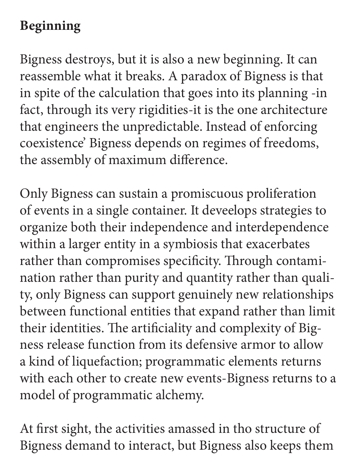## **Beginning**

Bigness destroys, but it is also a new beginning. It can reassemble what it breaks. A paradox of Bigness is that in spite of the calculation that goes into its planning -in fact, through its very rigidities-it is the one architecture that engineers the unpredictable. Instead of enforcing coexistence' Bigness depends on regimes of freedoms, the assembly of maximum difference.

Only Bigness can sustain a promiscuous proliferation of events in a single container. It deveelops strategies to organize both their independence and interdependence within a larger entity in a symbiosis that exacerbates rather than compromises specificity. Through contamination rather than purity and quantity rather than quality, only Bigness can support genuinely new relationships between functional entities that expand rather than limit their identities. The artificiality and complexity of Bigness release function from its defensive armor to allow a kind of liquefaction; programmatic elements returns with each other to create new events-Bigness returns to a model of programmatic alchemy.

At first sight, the activities amassed in tho structure of Bigness demand to interact, but Bigness also keeps them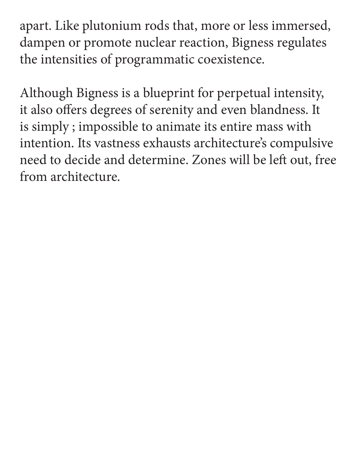apart. Like plutonium rods that, more or less immersed, dampen or promote nuclear reaction, Bigness regulates the intensities of programmatic coexistence.

Although Bigness is a blueprint for perpetual intensity, it also offers degrees of serenity and even blandness. It is simply ; impossible to animate its entire mass with intention. Its vastness exhausts architecture's compulsive need to decide and determine. Zones will be left out, free from architecture.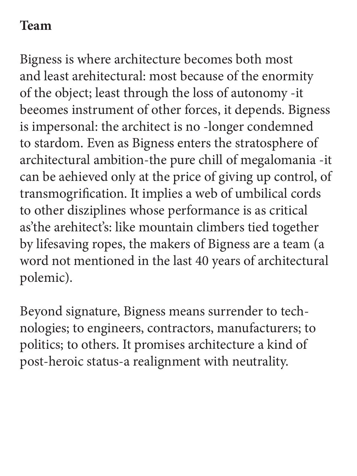#### **Team**

Bigness is where architecture becomes both most and least arehitectural: most because of the enormity of the object; least through the loss of autonomy -it beeomes instrument of other forces, it depends. Bigness is impersonal: the architect is no -longer condemned to stardom. Even as Bigness enters the stratosphere of architectural ambition-the pure chill of megalomania -it can be aehieved only at the price of giving up control, of transmogrification. It implies a web of umbilical cords to other disziplines whose performance is as critical as'the arehitect's: like mountain climbers tied together by lifesaving ropes, the makers of Bigness are a team (a word not mentioned in the last 40 years of architectural polemic).

Beyond signature, Bigness means surrender to technologies; to engineers, contractors, manufacturers; to politics; to others. It promises architecture a kind of post-heroic status-a realignment with neutrality.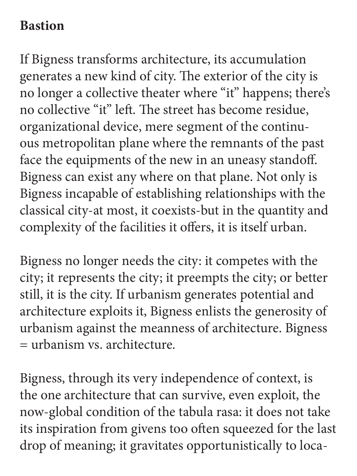#### **Bastion**

If Bigness transforms architecture, its accumulation generates a new kind of city. The exterior of the city is no longer a collective theater where "it" happens; there's no collective "it" left. The street has become residue, organizational device, mere segment of the continuous metropolitan plane where the remnants of the past face the equipments of the new in an uneasy standoff. Bigness can exist any where on that plane. Not only is Bigness incapable of establishing relationships with the classical city-at most, it coexists-but in the quantity and complexity of the facilities it offers, it is itself urban.

Bigness no longer needs the city: it competes with the city; it represents the city; it preempts the city; or better still, it is the city. If urbanism generates potential and architecture exploits it, Bigness enlists the generosity of urbanism against the meanness of architecture. Bigness = urbanism vs. architecture.

Bigness, through its very independence of context, is the one architecture that can survive, even exploit, the now-global condition of the tabula rasa: it does not take its inspiration from givens too often squeezed for the last drop of meaning; it gravitates opportunistically to loca-